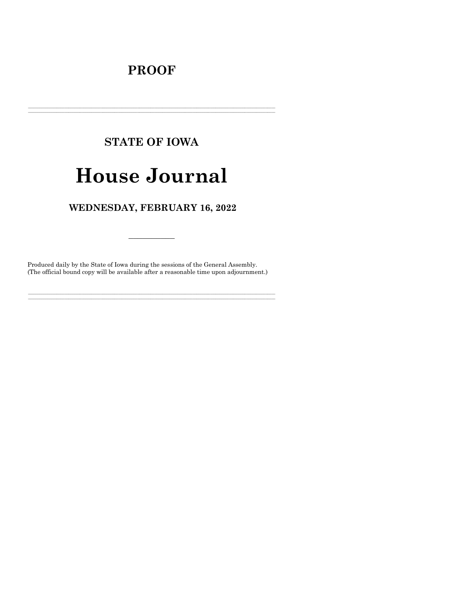# **PROOF**

# **STATE OF IOWA**

# **House Journal**

# WEDNESDAY, FEBRUARY 16, 2022

Produced daily by the State of Iowa during the sessions of the General Assembly. (The official bound copy will be available after a reasonable time upon adjournment.)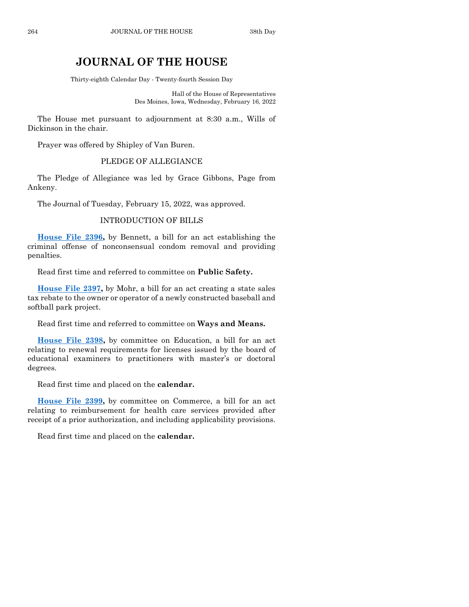# **JOURNAL OF THE HOUSE**

Thirty-eighth Calendar Day - Twenty-fourth Session Day

Hall of the House of Representatives Des Moines, Iowa, Wednesday, February 16, 2022

The House met pursuant to adjournment at 8:30 a.m., Wills of Dickinson in the chair.

Prayer was offered by Shipley of Van Buren.

# PLEDGE OF ALLEGIANCE

The Pledge of Allegiance was led by Grace Gibbons, Page from Ankeny.

The Journal of Tuesday, February 15, 2022, was approved.

#### INTRODUCTION OF BILLS

**[House File 2396,](https://www.legis.iowa.gov/legislation/BillBook?ga=89&ba=HF2396)** by Bennett, a bill for an act establishing the criminal offense of nonconsensual condom removal and providing penalties.

Read first time and referred to committee on **Public Safety.**

**[House File 2397,](https://www.legis.iowa.gov/legislation/BillBook?ga=89&ba=HF2397)** by Mohr, a bill for an act creating a state sales tax rebate to the owner or operator of a newly constructed baseball and softball park project.

Read first time and referred to committee on **Ways and Means.**

**[House File 2398,](https://www.legis.iowa.gov/legislation/BillBook?ga=89&ba=HF2398)** by committee on Education, a bill for an act relating to renewal requirements for licenses issued by the board of educational examiners to practitioners with master's or doctoral degrees.

Read first time and placed on the **calendar.**

**[House File 2399,](https://www.legis.iowa.gov/legislation/BillBook?ga=89&ba=HF2399)** by committee on Commerce, a bill for an act relating to reimbursement for health care services provided after receipt of a prior authorization, and including applicability provisions.

Read first time and placed on the **calendar.**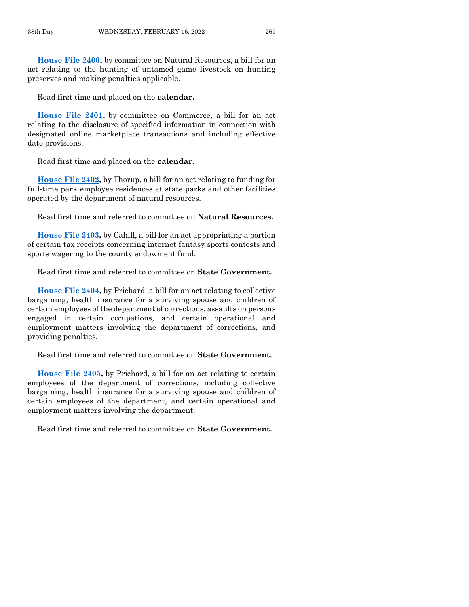**[House File 2400,](https://www.legis.iowa.gov/legislation/BillBook?ga=89&ba=HF2400)** by committee on Natural Resources, a bill for an act relating to the hunting of untamed game livestock on hunting preserves and making penalties applicable.

Read first time and placed on the **calendar.**

**[House File 2401,](https://www.legis.iowa.gov/legislation/BillBook?ga=89&ba=HF2401)** by committee on Commerce, a bill for an act relating to the disclosure of specified information in connection with designated online marketplace transactions and including effective date provisions.

Read first time and placed on the **calendar.**

**[House File 2402,](https://www.legis.iowa.gov/legislation/BillBook?ga=89&ba=HF2402)** by Thorup, a bill for an act relating to funding for full-time park employee residences at state parks and other facilities operated by the department of natural resources.

Read first time and referred to committee on **Natural Resources.**

**[House File 2403,](https://www.legis.iowa.gov/legislation/BillBook?ga=89&ba=HF2403)** by Cahill, a bill for an act appropriating a portion of certain tax receipts concerning internet fantasy sports contests and sports wagering to the county endowment fund.

Read first time and referred to committee on **State Government.**

**[House File 2404,](https://www.legis.iowa.gov/legislation/BillBook?ga=89&ba=HF2404)** by Prichard, a bill for an act relating to collective bargaining, health insurance for a surviving spouse and children of certain employees of the department of corrections, assaults on persons engaged in certain occupations, and certain operational and employment matters involving the department of corrections, and providing penalties.

Read first time and referred to committee on **State Government.**

**[House File 2405,](https://www.legis.iowa.gov/legislation/BillBook?ga=89&ba=HF2405)** by Prichard, a bill for an act relating to certain employees of the department of corrections, including collective bargaining, health insurance for a surviving spouse and children of certain employees of the department, and certain operational and employment matters involving the department.

Read first time and referred to committee on **State Government.**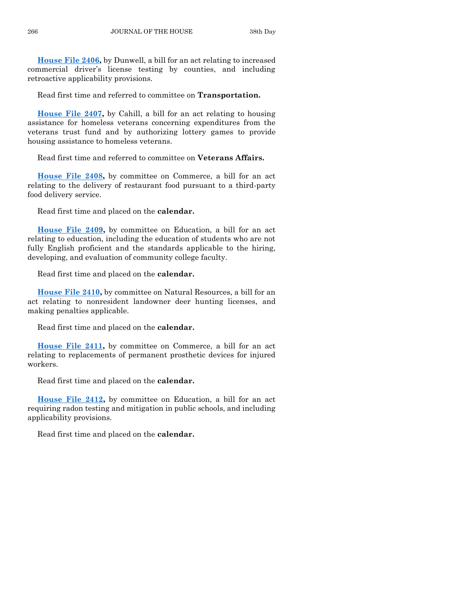**[House File 2406,](https://www.legis.iowa.gov/legislation/BillBook?ga=89&ba=HF2406)** by Dunwell, a bill for an act relating to increased commercial driver's license testing by counties, and including retroactive applicability provisions.

Read first time and referred to committee on **Transportation.**

**[House File 2407,](https://www.legis.iowa.gov/legislation/BillBook?ga=89&ba=HF2407)** by Cahill, a bill for an act relating to housing assistance for homeless veterans concerning expenditures from the veterans trust fund and by authorizing lottery games to provide housing assistance to homeless veterans.

Read first time and referred to committee on **Veterans Affairs.**

**[House File 2408,](https://www.legis.iowa.gov/legislation/BillBook?ga=89&ba=HF2408)** by committee on Commerce, a bill for an act relating to the delivery of restaurant food pursuant to a third-party food delivery service.

Read first time and placed on the **calendar.**

**[House File 2409,](https://www.legis.iowa.gov/legislation/BillBook?ga=89&ba=HF2409)** by committee on Education, a bill for an act relating to education, including the education of students who are not fully English proficient and the standards applicable to the hiring, developing, and evaluation of community college faculty.

Read first time and placed on the **calendar.**

**[House File 2410,](https://www.legis.iowa.gov/legislation/BillBook?ga=89&ba=HF2410)** by committee on Natural Resources, a bill for an act relating to nonresident landowner deer hunting licenses, and making penalties applicable.

Read first time and placed on the **calendar.**

**[House File 2411,](https://www.legis.iowa.gov/legislation/BillBook?ga=89&ba=HF2411)** by committee on Commerce, a bill for an act relating to replacements of permanent prosthetic devices for injured workers.

Read first time and placed on the **calendar.**

**[House File 2412,](https://www.legis.iowa.gov/legislation/BillBook?ga=89&ba=HF2412)** by committee on Education, a bill for an act requiring radon testing and mitigation in public schools, and including applicability provisions.

Read first time and placed on the **calendar.**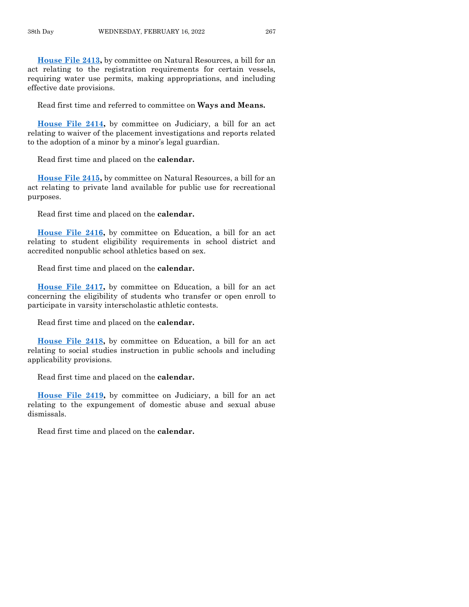**[House File 2413,](https://www.legis.iowa.gov/legislation/BillBook?ga=89&ba=HF2413)** by committee on Natural Resources, a bill for an act relating to the registration requirements for certain vessels, requiring water use permits, making appropriations, and including effective date provisions.

Read first time and referred to committee on **Ways and Means.**

**[House File 2414,](https://www.legis.iowa.gov/legislation/BillBook?ga=89&ba=HF2414)** by committee on Judiciary, a bill for an act relating to waiver of the placement investigations and reports related to the adoption of a minor by a minor's legal guardian.

Read first time and placed on the **calendar.**

**[House File 2415,](https://www.legis.iowa.gov/legislation/BillBook?ga=89&ba=HF2415)** by committee on Natural Resources, a bill for an act relating to private land available for public use for recreational purposes.

Read first time and placed on the **calendar.**

**[House File 2416,](https://www.legis.iowa.gov/legislation/BillBook?ga=89&ba=HF2416)** by committee on Education, a bill for an act relating to student eligibility requirements in school district and accredited nonpublic school athletics based on sex.

Read first time and placed on the **calendar.**

**[House File 2417,](https://www.legis.iowa.gov/legislation/BillBook?ga=89&ba=HF2417)** by committee on Education, a bill for an act concerning the eligibility of students who transfer or open enroll to participate in varsity interscholastic athletic contests.

Read first time and placed on the **calendar.**

**[House File 2418,](https://www.legis.iowa.gov/legislation/BillBook?ga=89&ba=HF2418)** by committee on Education, a bill for an act relating to social studies instruction in public schools and including applicability provisions.

Read first time and placed on the **calendar.**

**[House File 2419,](https://www.legis.iowa.gov/legislation/BillBook?ga=89&ba=HF2419)** by committee on Judiciary, a bill for an act relating to the expungement of domestic abuse and sexual abuse dismissals.

Read first time and placed on the **calendar.**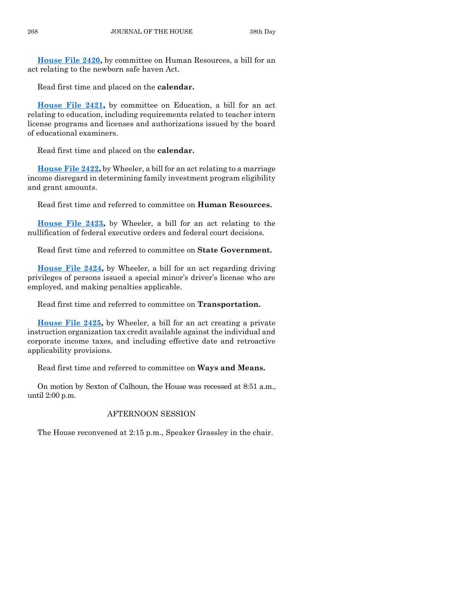**[House File 2420,](https://www.legis.iowa.gov/legislation/BillBook?ga=89&ba=HF2420)** by committee on Human Resources, a bill for an act relating to the newborn safe haven Act.

Read first time and placed on the **calendar.**

**[House File 2421,](https://www.legis.iowa.gov/legislation/BillBook?ga=89&ba=HF2421)** by committee on Education, a bill for an act relating to education, including requirements related to teacher intern license programs and licenses and authorizations issued by the board of educational examiners.

Read first time and placed on the **calendar.**

**[House File 2422,](https://www.legis.iowa.gov/legislation/BillBook?ga=89&ba=HF2422)** by Wheeler, a bill for an act relating to a marriage income disregard in determining family investment program eligibility and grant amounts.

Read first time and referred to committee on **Human Resources.**

**[House File 2423,](https://www.legis.iowa.gov/legislation/BillBook?ga=89&ba=HF2423)** by Wheeler, a bill for an act relating to the nullification of federal executive orders and federal court decisions.

Read first time and referred to committee on **State Government.**

**[House File 2424,](https://www.legis.iowa.gov/legislation/BillBook?ga=89&ba=HF2424)** by Wheeler, a bill for an act regarding driving privileges of persons issued a special minor's driver's license who are employed, and making penalties applicable.

Read first time and referred to committee on **Transportation.**

**[House File 2425,](https://www.legis.iowa.gov/legislation/BillBook?ga=89&ba=HF2425)** by Wheeler, a bill for an act creating a private instruction organization tax credit available against the individual and corporate income taxes, and including effective date and retroactive applicability provisions.

Read first time and referred to committee on **Ways and Means.**

On motion by Sexton of Calhoun, the House was recessed at 8:51 a.m., until 2:00 p.m.

# AFTERNOON SESSION

The House reconvened at 2:15 p.m., Speaker Grassley in the chair.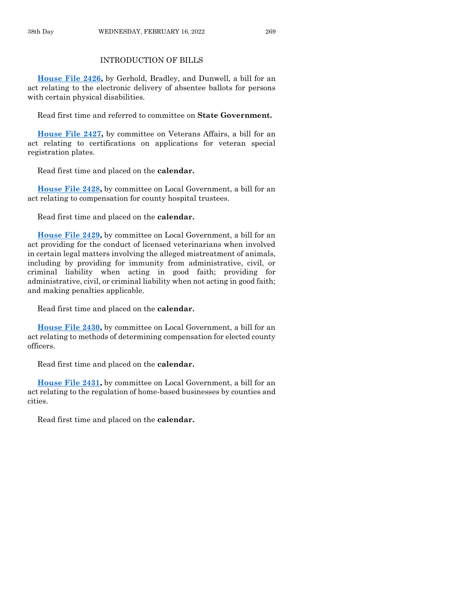# INTRODUCTION OF BILLS

**[House File 2426,](https://www.legis.iowa.gov/legislation/BillBook?ga=89&ba=HF2426)** by Gerhold, Bradley, and Dunwell, a bill for an act relating to the electronic delivery of absentee ballots for persons with certain physical disabilities.

Read first time and referred to committee on **State Government.**

**[House File 2427,](https://www.legis.iowa.gov/legislation/BillBook?ga=89&ba=HF2427)** by committee on Veterans Affairs, a bill for an act relating to certifications on applications for veteran special registration plates.

Read first time and placed on the **calendar.**

**[House File 2428,](https://www.legis.iowa.gov/legislation/BillBook?ga=89&ba=HF2428)** by committee on Local Government, a bill for an act relating to compensation for county hospital trustees.

Read first time and placed on the **calendar.**

**[House File 2429,](https://www.legis.iowa.gov/legislation/BillBook?ga=89&ba=HF2429)** by committee on Local Government, a bill for an act providing for the conduct of licensed veterinarians when involved in certain legal matters involving the alleged mistreatment of animals, including by providing for immunity from administrative, civil, or criminal liability when acting in good faith; providing for administrative, civil, or criminal liability when not acting in good faith; and making penalties applicable.

Read first time and placed on the **calendar.**

**[House File 2430,](https://www.legis.iowa.gov/legislation/BillBook?ga=89&ba=HF2430)** by committee on Local Government, a bill for an act relating to methods of determining compensation for elected county officers.

Read first time and placed on the **calendar.**

**[House File 2431,](https://www.legis.iowa.gov/legislation/BillBook?ga=89&ba=HF2431)** by committee on Local Government, a bill for an act relating to the regulation of home-based businesses by counties and cities.

Read first time and placed on the **calendar.**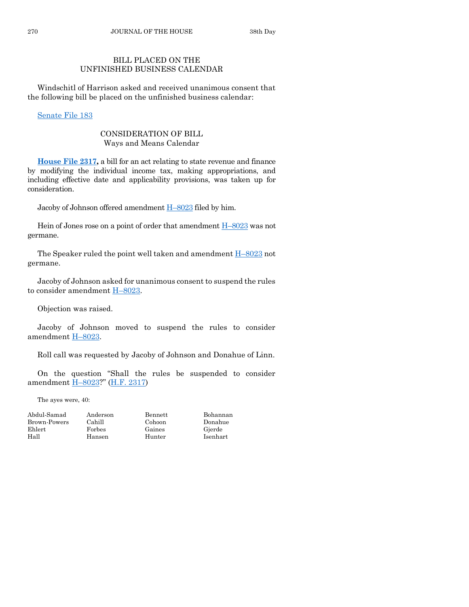# BILL PLACED ON THE UNFINISHED BUSINESS CALENDAR

Windschitl of Harrison asked and received unanimous consent that the following bill be placed on the unfinished business calendar:

[Senate File 183](https://www.legis.iowa.gov/legislation/BillBook?ga=89&ba=SF183)

## CONSIDERATION OF BILL Ways and Means Calendar

**[House File 2317,](https://www.legis.iowa.gov/legislation/BillBook?ga=89&ba=HF2317)** a bill for an act relating to state revenue and finance by modifying the individual income tax, making appropriations, and including effective date and applicability provisions, was taken up for consideration.

Jacoby of Johnson offered amendment H–[8023](https://www.legis.iowa.gov/legislation/BillBook?ga=89&ba=H8023) filed by him.

Hein of Jones rose on a point of order that amendment H–[8023](https://www.legis.iowa.gov/legislation/BillBook?ga=89&ba=H8023) was not germane.

The Speaker ruled the point well taken and amendment  $H-8023$  $H-8023$  not germane.

Jacoby of Johnson asked for unanimous consent to suspend the rules to consider amendment  $H-8023$ .

Objection was raised.

Jacoby of Johnson moved to suspend the rules to consider amendment H–[8023.](https://www.legis.iowa.gov/legislation/BillBook?ga=89&ba=H8023)

Roll call was requested by Jacoby of Johnson and Donahue of Linn.

On the question "Shall the rules be suspended to consider amendment H–[8023?](https://www.legis.iowa.gov/legislation/BillBook?ga=89&ba=H8023)" [\(H.F. 2317\)](https://www.legis.iowa.gov/legislation/BillBook?ga=89&ba=HF2317)

The ayes were, 40:

| Abdul-Samad<br>Brown-Powers | Anderson<br>Cahill | Bennett<br>Cohoon | Bohannan<br>Donahue |
|-----------------------------|--------------------|-------------------|---------------------|
| Ehlert                      | Forbes             | Gaines            | Gierde              |
| Hall                        | Hansen             | Hunter            | Isenhart            |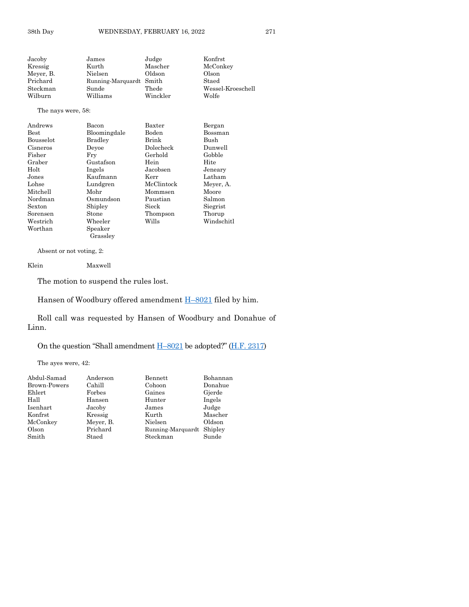| Jacoby             | James                   | Judge    | Konfrst           |
|--------------------|-------------------------|----------|-------------------|
| Kressig            | Kurth                   | Mascher  | McConkey          |
| Meyer, B.          | Nielsen                 | Oldson   | Olson             |
| Prichard           | Running-Marquardt Smith |          | Staed             |
| Steckman           | Sunde                   | Thede    | Wessel-Kroeschell |
| Wilburn            | Williams                | Winckler | Wolfe             |
| The nays were, 58: |                         |          |                   |

#### Andrews Bacon Baxter Bergan Best Bloomingdale Boden Bossman Bousselot Bradley Brink Bush Cisneros Deyoe Dolecheck Dunwell Fisher Fry Gerhold Gobb<br>Graber Gustafson Hein Hite Gustafson Hein Holt Ingels Jacobsen Jeneary Jones Kaufmann Kerr Latham Lohse Lundgren McClintock Meyer, A. Mitchell Mohr Mommsen Moore Nordman Osmundson Paustian Salmon Shipley Sorensen Stone Thompson Thorup Westrich Wheeler Wills Windschitl Worthan Speaker

Absent or not voting, 2:

Klein Maxwell

The motion to suspend the rules lost.

Grassley

Hansen of Woodbury offered amendment  $H-8021$  $H-8021$  filed by him.

Roll call was requested by Hansen of Woodbury and Donahue of Linn.

On the question "Shall amendment H–[8021](https://www.legis.iowa.gov/legislation/BillBook?ga=89&ba=H8021) be adopted?" ([H.F. 2317\)](https://www.legis.iowa.gov/legislation/BillBook?ga=89&ba=HF2317)

The ayes were, 42:

| Abdul-Samad         | Anderson  | Bennett                   | Bohannan |
|---------------------|-----------|---------------------------|----------|
| <b>Brown-Powers</b> | Cahill    | Cohoon                    | Donahue  |
| Ehlert              | Forbes    | Gaines                    | Gjerde   |
| Hall                | Hansen    | Hunter                    | Ingels   |
| Isenhart            | Jacoby    | James                     | Judge    |
| Konfrst             | Kressig   | Kurth                     | Mascher  |
| McConkey            | Meyer, B. | Nielsen                   | Oldson   |
| Olson               | Prichard  | Running-Marquardt Shipley |          |
| Smith               | Staed     | Steckman                  | Sunde    |
|                     |           |                           |          |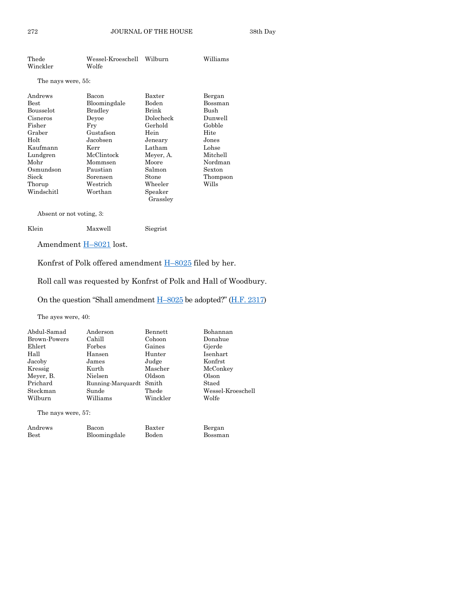| Thede<br>Winckler  | Wessel-Kroeschell<br>Wolfe | Wilburn             | Williams |
|--------------------|----------------------------|---------------------|----------|
| The nays were, 55: |                            |                     |          |
| Andrews            | Bacon                      | Baxter              | Bergan   |
| <b>Best</b>        | Bloomingdale               | Boden               | Bossman  |
| <b>Bousselot</b>   | Bradley                    | Brink               | Bush     |
| Cisneros           | Devoe                      | Dolecheck           | Dunwell  |
| Fisher             | Fry                        | Gerhold             | Gobble   |
| Graber             | Gustafson                  | Hein                | Hite     |
| Holt               | Jacobsen                   | Jeneary             | Jones    |
| Kaufmann           | Kerr                       | Latham              | Lohse    |
| Lundgren           | McClintock                 | Meyer, A.           | Mitchell |
| Mohr               | Mommsen                    | Moore               | Nordman  |
| Osmundson          | Paustian                   | Salmon              | Sexton   |
| Sieck              | Sorensen                   | Stone               | Thompson |
| Thorup             | ${\rm Westernch}$          | Wheeler             | Wills    |
| Windschitl         | Worthan                    | Speaker<br>Grassley |          |

Absent or not voting, 3:

| Klein | Maxwell | Siegrist |
|-------|---------|----------|
|-------|---------|----------|

Amendment H–[8021](https://www.legis.iowa.gov/legislation/BillBook?ga=89&ba=H8021) lost.

Konfrst of Polk offered amendment H–[8025](https://www.legis.iowa.gov/legislation/BillBook?ga=89&ba=H8025) filed by her.

Roll call was requested by Konfrst of Polk and Hall of Woodbury.

On the question "Shall amendment H–[8025](https://www.legis.iowa.gov/legislation/BillBook?ga=89&ba=H8025) be adopted?" ([H.F. 2317\)](https://www.legis.iowa.gov/legislation/BillBook?ga=89&ba=HF2317)

The ayes were, 40:

| Anderson | Bennett  | Bohannan                |
|----------|----------|-------------------------|
| Cahill   | Cohoon   | Donahue                 |
| Forbes   | Gaines   | Gjerde                  |
| Hansen   | Hunter   | Isenhart                |
| James    | Judge    | Konfrst                 |
| Kurth    | Mascher  | McConkey                |
| Nielsen  | Oldson   | Olson                   |
|          |          | Staed                   |
| Sunde    | Thede    | Wessel-Kroeschell       |
| Williams | Winckler | Wolfe                   |
|          |          | Running-Marquardt Smith |

The nays were, 57:

| Andrews | Bacon        | Baxter | Bergan  |
|---------|--------------|--------|---------|
| Best    | Bloomingdale | Boden  | Bossman |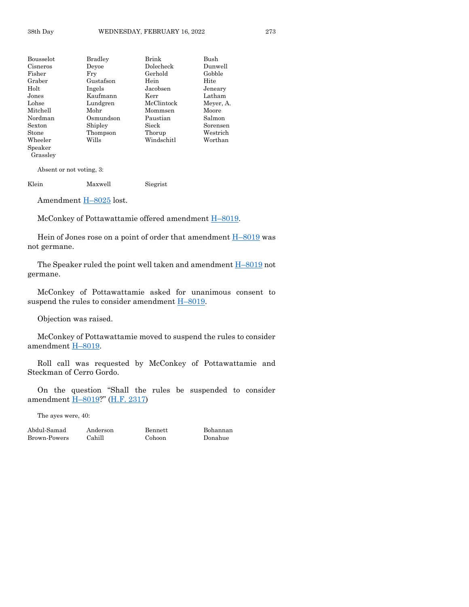| Bousselot      | <b>Bradley</b> | Brink      | Bush      |
|----------------|----------------|------------|-----------|
| Cisneros       | Devoe          | Dolecheck  | Dunwell   |
| Fisher         | Frv            | Gerhold    | Gobble    |
| Graber         | Gustafson      | Hein       | Hite      |
| $_{\rm Holt}$  | Ingels         | Jacobsen   | Jeneary   |
| Jones          | Kaufmann       | Kerr       | Latham    |
| $_{\rm Lohse}$ | Lundgren       | McClintock | Meyer, A. |
| Mitchell       | Mohr           | Mommsen    | Moore     |
| Nordman        | Osmundson      | Paustian   | Salmon    |
| $S$ exton      | Shipley        | Sieck      | Sorensen  |
| $_{\rm Stone}$ | Thompson       | Thorup     | Westrich  |
| Wheeler        | Wills          | Windschitl | Worthan   |
| $S$ peaker     |                |            |           |
| Grassley       |                |            |           |

Absent or not voting, 3:

Klein Maxwell Siegrist

Amendment H-[8025](https://www.legis.iowa.gov/legislation/BillBook?ga=89&ba=H8025) lost.

McConkey of Pottawattamie offered amendment **H**–[8019.](https://www.legis.iowa.gov/legislation/BillBook?ga=89&ba=H8019)

Hein of Jones rose on a point of order that amendment  $H-8019$  $H-8019$  was not germane.

The Speaker ruled the point well taken and amendment  $H-8019$  $H-8019$  not germane.

McConkey of Pottawattamie asked for unanimous consent to suspend the rules to consider amendment  $H$ –[8019.](https://www.legis.iowa.gov/legislation/BillBook?ga=89&ba=H8019)

Objection was raised.

McConkey of Pottawattamie moved to suspend the rules to consider amendment H–[8019.](https://www.legis.iowa.gov/legislation/BillBook?ga=89&ba=H8019)

Roll call was requested by McConkey of Pottawattamie and Steckman of Cerro Gordo.

On the question "Shall the rules be suspended to consider amendment H–[8019?](https://www.legis.iowa.gov/legislation/BillBook?ga=89&ba=H8019)" [\(H.F. 2317\)](https://www.legis.iowa.gov/legislation/BillBook?ga=89&ba=HF2317)

The ayes were, 40:

Abdul-Samad Anderson Bennett Bohannan Brown-Powers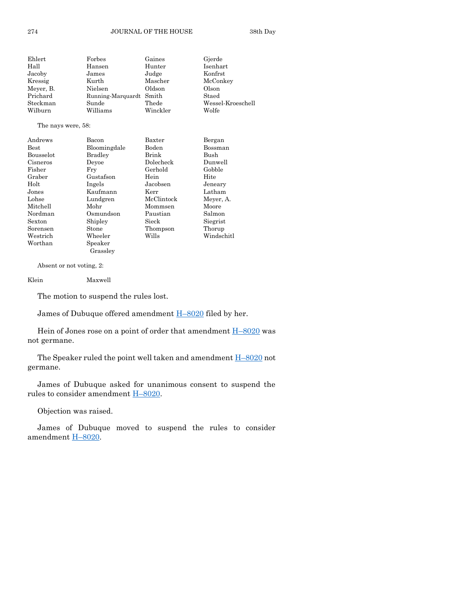| Ehlert    | Forbes                  | Gaines   | Gjerde            |
|-----------|-------------------------|----------|-------------------|
| Hall      | Hansen                  | Hunter   | Isenhart          |
| Jacoby    | James                   | Judge    | Konfrst           |
| Kressig   | Kurth                   | Mascher  | McConkey          |
| Meyer, B. | Nielsen                 | Oldson   | Olson             |
| Prichard  | Running-Marquardt Smith |          | Staed             |
| Steckman  | Sunde                   | Thede    | Wessel-Kroeschell |
| Wilburn   | Williams                | Winckler | Wolfe             |

#### The nays were, 58:

| Andrews     | Bacon        | Baxter     | Bergan     |
|-------------|--------------|------------|------------|
| <b>Best</b> | Bloomingdale | Boden      | Bossman    |
| Bousselot   | Bradley      | Brink      | Bush       |
| Cisneros    | Devoe        | Dolecheck  | Dunwell    |
| Fisher      | Frv          | Gerhold    | Gobble     |
| Graber      | Gustafson    | Hein       | Hite       |
| Holt        | Ingels       | Jacobsen   | Jeneary    |
| Jones       | Kaufmann     | Kerr       | Latham     |
| Lohse       | Lundgren     | McClintock | Meyer, A.  |
| Mitchell    | Mohr         | Mommsen    | Moore      |
| Nordman     | Osmundson    | Paustian   | Salmon     |
| Sexton      | Shipley      | Sieck      | Siegrist   |
| Sorensen    | Stone        | Thompson   | Thorup     |
| Westrich    | Wheeler      | Wills      | Windschitl |
| Worthan     | Speaker      |            |            |
|             | Grasslev     |            |            |

Absent or not voting, 2:

Klein Maxwell

The motion to suspend the rules lost.

James of Dubuque offered amendment  $H-8020$  $H-8020$  filed by her.

Hein of Jones rose on a point of order that amendment  $H-8020$  $H-8020$  was not germane.

The Speaker ruled the point well taken and amendment  $H-8020$  $H-8020$  not germane.

James of Dubuque asked for unanimous consent to suspend the rules to consider amendment H–[8020.](https://www.legis.iowa.gov/legislation/BillBook?ga=89&ba=H8020)

Objection was raised.

James of Dubuque moved to suspend the rules to consider amendment H–[8020.](https://www.legis.iowa.gov/legislation/BillBook?ga=89&ba=H8020)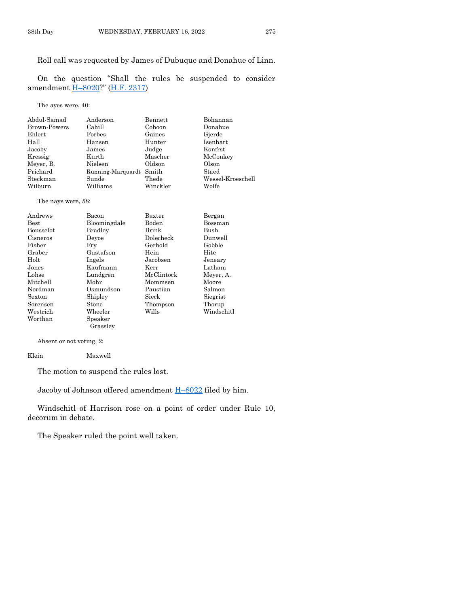# Roll call was requested by James of Dubuque and Donahue of Linn.

On the question "Shall the rules be suspended to consider amendment H–[8020?](https://www.legis.iowa.gov/legislation/BillBook?ga=89&ba=H8020)" [\(H.F. 2317\)](https://www.legis.iowa.gov/legislation/BillBook?ga=89&ba=HF2317)

The ayes were, 40:

| Anderson | Bennett  | Bohannan                |
|----------|----------|-------------------------|
| Cahill   | Cohoon   | Donahue                 |
| Forbes   | Gaines   | Gjerde                  |
| Hansen   | Hunter   | Isenhart                |
| James    | Judge    | Konfrst                 |
| Kurth    | Mascher  | McConkey                |
| Nielsen  | Oldson   | Olson                   |
|          |          | Staed                   |
| Sunde    | Thede    | Wessel-Kroeschell       |
| Williams | Winckler | Wolfe                   |
|          |          | Running-Marquardt Smith |

#### The nays were, 58:

| Andrews          | Bacon          | Baxter     | Bergan     |
|------------------|----------------|------------|------------|
| <b>Best</b>      | Bloomingdale   | Boden      | Bossman    |
| <b>Bousselot</b> | <b>Bradley</b> | Brink      | Bush       |
| Cisneros         | Devoe          | Dolecheck  | Dunwell    |
| Fisher           | Frv            | Gerhold    | Gobble     |
| Graber           | Gustafson      | Hein       | Hite       |
| Holt             | Ingels         | Jacobsen   | Jeneary    |
| Jones            | Kaufmann       | Kerr       | Latham     |
| Lohse            | Lundgren       | McClintock | Meyer, A.  |
| Mitchell         | Mohr           | Mommsen    | Moore      |
| Nordman          | Osmundson      | Paustian   | Salmon     |
| Sexton           | Shipley        | Sieck      | Siegrist   |
| Sorensen         | Stone          | Thompson   | Thorup     |
| Westrich         | Wheeler        | Wills      | Windschitl |
| Worthan          | Speaker        |            |            |
|                  | Grassley       |            |            |

Absent or not voting, 2:

Klein Maxwell

The motion to suspend the rules lost.

Jacoby of Johnson offered amendment  $H-8022$  $H-8022$  filed by him.

Windschitl of Harrison rose on a point of order under Rule 10, decorum in debate.

The Speaker ruled the point well taken.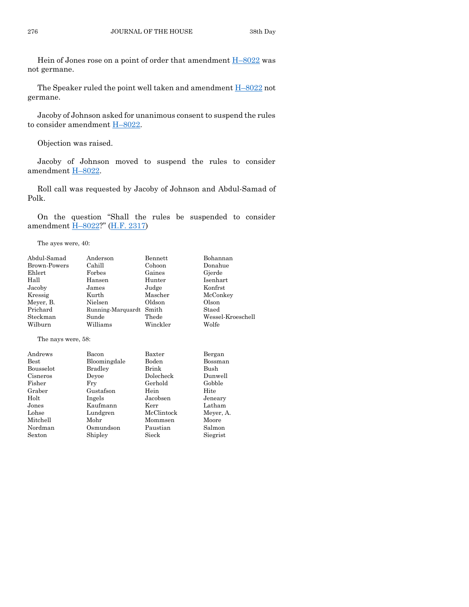Hein of Jones rose on a point of order that amendment  $H-8022$  $H-8022$  was not germane.

The Speaker ruled the point well taken and amendment H–[8022](https://www.legis.iowa.gov/legislation/BillBook?ga=89&ba=H8022) not germane.

Jacoby of Johnson asked for unanimous consent to suspend the rules to consider amendment H–[8022.](https://www.legis.iowa.gov/legislation/BillBook?ga=89&ba=H8022)

Objection was raised.

Jacoby of Johnson moved to suspend the rules to consider amendment H–[8022.](https://www.legis.iowa.gov/legislation/BillBook?ga=89&ba=H8022)

Roll call was requested by Jacoby of Johnson and Abdul-Samad of Polk.

On the question "Shall the rules be suspended to consider amendment H–[8022?](https://www.legis.iowa.gov/legislation/BillBook?ga=89&ba=H8022)" [\(H.F. 2317\)](https://www.legis.iowa.gov/legislation/BillBook?ga=89&ba=HF2317)

The ayes were, 40:

| Abdul-Samad         | Anderson          | Bennett        | Bohannan          |
|---------------------|-------------------|----------------|-------------------|
| <b>Brown-Powers</b> | Cahill            | Cohoon         | Donahue           |
| Ehlert              | Forbes            | Gaines         | Gjerde            |
| Hall                | Hansen            | Hunter         | <b>Isenhart</b>   |
| Jacoby              | James             | Judge          | Konfrst           |
| Kressig             | Kurth             | Mascher        | McConkey          |
| Meyer, B.           | Nielsen           | Oldson         | Olson             |
| Prichard            | Running-Marquardt | Smith          | Staed             |
| Steckman            | Sunde             | Thede          | Wessel-Kroeschell |
| Wilburn             | Williams          | Winckler       | Wolfe             |
| The nays were, 58:  |                   |                |                   |
| Andrews             | Bacon             | Baxter         | Bergan            |
| <b>Best</b>         | Bloomingdale      | Boden          | Bossman           |
| Bousselot           | Bradley           | Brink          | Bush              |
| Cisneros            | Deyoe             | Dolecheck      | Dunwell           |
| Fisher              | Fry               | Gerhold        | Gobble            |
| Graber              | Hein<br>Gustafson |                | Hite              |
| Holt                | Ingels            | Jacobsen       | Jeneary           |
| Jones               | Kaufmann          | Latham<br>Kerr |                   |
| Lohse               | Lundgren          | McClintock     | Meyer, A.         |
| Mitchell            | Mohr              | Mommsen        | Moore             |
| Nordman             | Osmundson         | Paustian       | Salmon            |
| Sexton              | Shipley           | Sieck          | Siegrist          |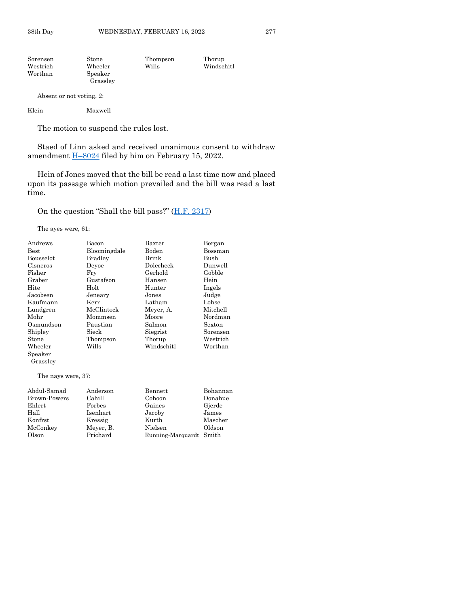| Sorensen | Stone    | Thompson | Thorup     |
|----------|----------|----------|------------|
| Westrich | Wheeler  | Wills    | Windschitl |
| Worthan  | Speaker  |          |            |
|          | Grasslev |          |            |
|          |          |          |            |

Absent or not voting, 2:

The motion to suspend the rules lost.

Staed of Linn asked and received unanimous consent to withdraw amendment  $\underline{H-8024}$  $\underline{H-8024}$  $\underline{H-8024}$  filed by him on February 15, 2022.

Hein of Jones moved that the bill be read a last time now and placed upon its passage which motion prevailed and the bill was read a last time.

On the question "Shall the bill pass?" ([H.F. 2317\)](https://www.legis.iowa.gov/legislation/BillBook?ga=89&ba=HF2317)

The ayes were, 61:

| Andrews                        | Bacon          | Baxter     | Bergan   |
|--------------------------------|----------------|------------|----------|
| <b>Best</b>                    | Bloomingdale   | Boden      | Bossman  |
| <b>Bousselot</b>               | <b>Bradley</b> | Brink      | Bush     |
| Cisneros                       | Devoe          | Dolecheck  | Dunwell  |
| Fisher                         | Fry            | Gerhold    | Gobble   |
| Graber                         | Gustafson      | Hansen     | Hein     |
| Hite                           | Holt           | Hunter     | Ingels   |
| Jacobsen                       | Jeneary        | Jones      | Judge    |
| Kaufmann                       | Kerr           | Latham     | Lohse    |
| Lundgren                       | McClintock     | Meyer, A.  | Mitchell |
| Mohr                           | Mommsen        | Moore      | Nordman  |
| Osmundson                      | Paustian       | Salmon     | Sexton   |
|                                |                |            |          |
| Shipley                        | Sieck          | Siegrist   | Sorensen |
| Stone                          | Thompson       | Thorup     | Westrich |
| Wheeler<br>Speaker<br>Grassley | Wills          | Windschitl | Worthan  |

The nays were, 37:

| Abdul-Samad  | Anderson  | Bennett                 | Bohannan |
|--------------|-----------|-------------------------|----------|
| Brown-Powers | Cahill    | Cohoon                  | Donahue  |
| Ehlert       | Forbes    | Gaines                  | Gjerde   |
| Hall         | Isenhart  | Jacoby                  | James    |
| Konfrst      | Kressig   | Kurth                   | Mascher  |
| McConkey     | Meyer, B. | Nielsen                 | Oldson   |
| Olson        | Prichard  | Running-Marquardt Smith |          |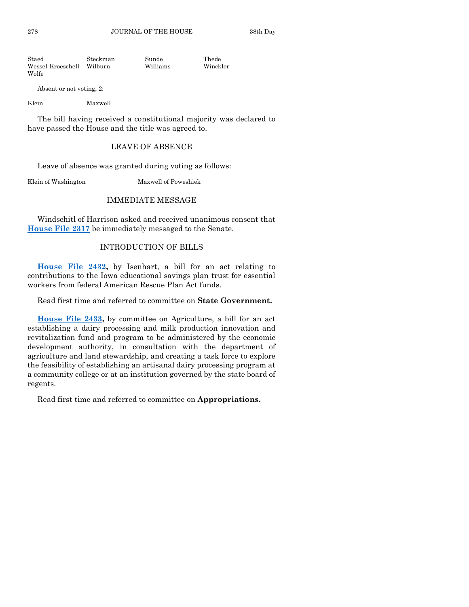278 JOURNAL OF THE HOUSE 38th Day

Staed Steckman Sunde Thede Wessel-Kroeschell Wilburn Williams Winckler Wolfe

Absent or not voting, 2:

Klein Maxwell

The bill having received a constitutional majority was declared to have passed the House and the title was agreed to.

## LEAVE OF ABSENCE

Leave of absence was granted during voting as follows:

Klein of Washington Maxwell of Poweshiek

### IMMEDIATE MESSAGE

Windschitl of Harrison asked and received unanimous consent that **[House File 2317](https://www.legis.iowa.gov/legislation/BillBook?ga=89&ba=HF2317)** be immediately messaged to the Senate.

### INTRODUCTION OF BILLS

**[House File 2432,](https://www.legis.iowa.gov/legislation/BillBook?ga=89&ba=HF2432)** by Isenhart, a bill for an act relating to contributions to the Iowa educational savings plan trust for essential workers from federal American Rescue Plan Act funds.

Read first time and referred to committee on **State Government.**

**[House File 2433,](https://www.legis.iowa.gov/legislation/BillBook?ga=89&ba=HF2433)** by committee on Agriculture, a bill for an act establishing a dairy processing and milk production innovation and revitalization fund and program to be administered by the economic development authority, in consultation with the department of agriculture and land stewardship, and creating a task force to explore the feasibility of establishing an artisanal dairy processing program at a community college or at an institution governed by the state board of regents.

Read first time and referred to committee on **Appropriations.**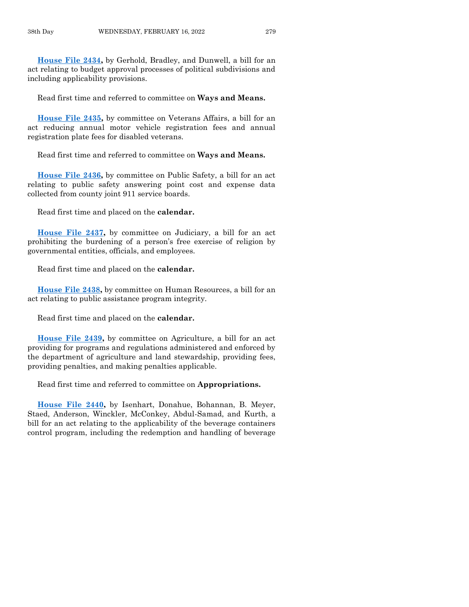**[House File 2434,](https://www.legis.iowa.gov/legislation/BillBook?ga=89&ba=HF2434)** by Gerhold, Bradley, and Dunwell, a bill for an act relating to budget approval processes of political subdivisions and including applicability provisions.

Read first time and referred to committee on **Ways and Means.**

**[House File 2435,](https://www.legis.iowa.gov/legislation/BillBook?ga=89&ba=HF2435)** by committee on Veterans Affairs, a bill for an act reducing annual motor vehicle registration fees and annual registration plate fees for disabled veterans.

Read first time and referred to committee on **Ways and Means.**

**[House File](https://www.legis.iowa.gov/legislation/BillBook?ga=89&ba=HF2436) 2436,** by committee on Public Safety, a bill for an act relating to public safety answering point cost and expense data collected from county joint 911 service boards.

Read first time and placed on the **calendar.**

**[House File 2437,](https://www.legis.iowa.gov/legislation/BillBook?ga=89&ba=HF2437)** by committee on Judiciary, a bill for an act prohibiting the burdening of a person's free exercise of religion by governmental entities, officials, and employees.

Read first time and placed on the **calendar.**

**[House File 2438,](https://www.legis.iowa.gov/legislation/BillBook?ga=89&ba=HF2438)** by committee on Human Resources, a bill for an act relating to public assistance program integrity.

Read first time and placed on the **calendar.**

**[House File 2439,](https://www.legis.iowa.gov/legislation/BillBook?ga=89&ba=HF2439)** by committee on Agriculture, a bill for an act providing for programs and regulations administered and enforced by the department of agriculture and land stewardship, providing fees, providing penalties, and making penalties applicable.

Read first time and referred to committee on **Appropriations.**

**[House File 2440,](https://www.legis.iowa.gov/legislation/BillBook?ga=89&ba=HF2440)** by Isenhart, Donahue, Bohannan, B. Meyer, Staed, Anderson, Winckler, McConkey, Abdul-Samad, and Kurth, a bill for an act relating to the applicability of the beverage containers control program, including the redemption and handling of beverage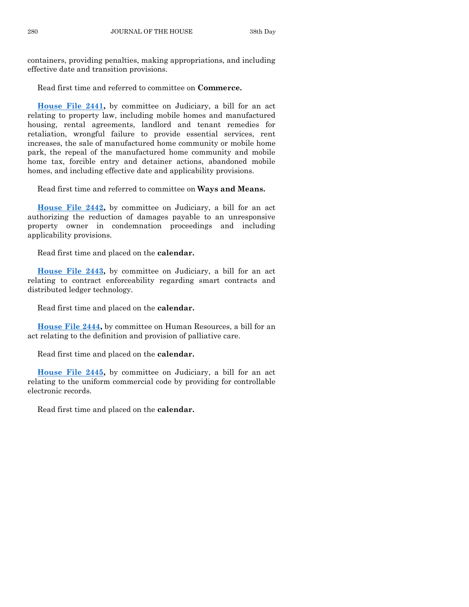containers, providing penalties, making appropriations, and including effective date and transition provisions.

Read first time and referred to committee on **Commerce.**

**[House File 2441,](https://www.legis.iowa.gov/legislation/BillBook?ga=89&ba=HF2441)** by committee on Judiciary, a bill for an act relating to property law, including mobile homes and manufactured housing, rental agreements, landlord and tenant remedies for retaliation, wrongful failure to provide essential services, rent increases, the sale of manufactured home community or mobile home park, the repeal of the manufactured home community and mobile home tax, forcible entry and detainer actions, abandoned mobile homes, and including effective date and applicability provisions.

Read first time and referred to committee on **Ways and Means.**

**[House File 2442,](https://www.legis.iowa.gov/legislation/BillBook?ga=89&ba=HF2442)** by committee on Judiciary, a bill for an act authorizing the reduction of damages payable to an unresponsive property owner in condemnation proceedings and including applicability provisions.

Read first time and placed on the **calendar.**

**[House File 2443,](https://www.legis.iowa.gov/legislation/BillBook?ga=89&ba=HF2443)** by committee on Judiciary, a bill for an act relating to contract enforceability regarding smart contracts and distributed ledger technology.

Read first time and placed on the **calendar.**

**[House File 2444,](https://www.legis.iowa.gov/legislation/BillBook?ga=89&ba=HF2444)** by committee on Human Resources, a bill for an act relating to the definition and provision of palliative care.

Read first time and placed on the **calendar.**

**[House File 2445,](https://www.legis.iowa.gov/legislation/BillBook?ga=89&ba=HF2445)** by committee on Judiciary, a bill for an act relating to the uniform commercial code by providing for controllable electronic records.

Read first time and placed on the **calendar.**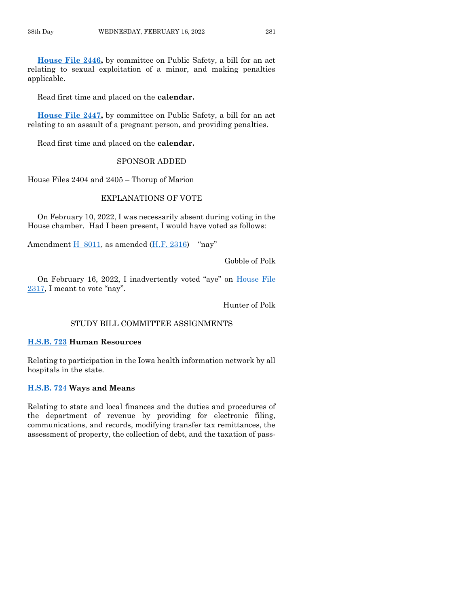**[House File 2446,](https://www.legis.iowa.gov/legislation/BillBook?ga=89&ba=HF2446)** by committee on Public Safety, a bill for an act relating to sexual exploitation of a minor, and making penalties applicable.

Read first time and placed on the **calendar.**

**[House File 2447,](https://www.legis.iowa.gov/legislation/BillBook?ga=89&ba=HF2447)** by committee on Public Safety, a bill for an act relating to an assault of a pregnant person, and providing penalties.

Read first time and placed on the **calendar.**

#### SPONSOR ADDED

House Files 2404 and 2405 – Thorup of Marion

# EXPLANATIONS OF VOTE

On February 10, 2022, I was necessarily absent during voting in the House chamber. Had I been present, I would have voted as follows:

Amendment  $H=8011$ , as amended  $(H.F. 2316)$  - "nay"

Gobble of Polk

On February 16, 2022, I inadvertently voted "aye" on [House File](https://www.legis.iowa.gov/legislation/BillBook?ga=89&ba=HF2317)  [2317](https://www.legis.iowa.gov/legislation/BillBook?ga=89&ba=HF2317), I meant to vote "nay".

Hunter of Polk

# STUDY BILL COMMITTEE ASSIGNMENTS

#### **[H.S.B. 723](https://www.legis.iowa.gov/legislation/BillBook?ga=89&ba=HSB723) Human Resources**

Relating to participation in the Iowa health information network by all hospitals in the state.

#### **[H.S.B. 724](https://www.legis.iowa.gov/legislation/BillBook?ga=89&ba=HSB724) Ways and Means**

Relating to state and local finances and the duties and procedures of the department of revenue by providing for electronic filing, communications, and records, modifying transfer tax remittances, the assessment of property, the collection of debt, and the taxation of pass-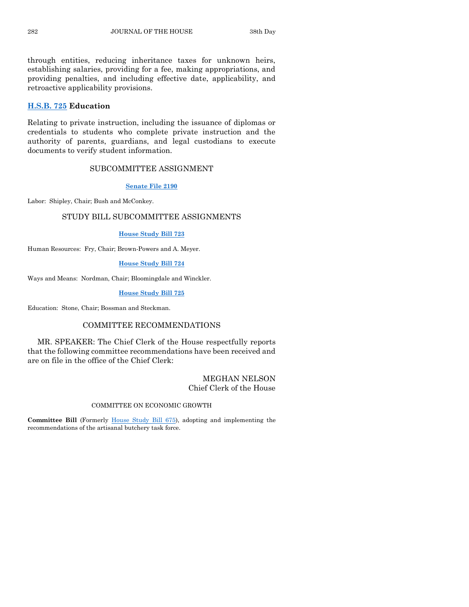through entities, reducing inheritance taxes for unknown heirs, establishing salaries, providing for a fee, making appropriations, and providing penalties, and including effective date, applicability, and retroactive applicability provisions.

### **[H.S.B. 725](https://www.legis.iowa.gov/legislation/BillBook?ga=89&ba=HSB725) Education**

Relating to private instruction, including the issuance of diplomas or credentials to students who complete private instruction and the authority of parents, guardians, and legal custodians to execute documents to verify student information.

# SUBCOMMITTEE ASSIGNMENT

#### **[Senate File 2190](https://www.legis.iowa.gov/legislation/BillBook?ga=89&ba=SF2190)**

Labor: Shipley, Chair; Bush and McConkey.

# STUDY BILL SUBCOMMITTEE ASSIGNMENTS

#### **[House Study Bill 723](https://www.legis.iowa.gov/legislation/BillBook?ga=89&ba=HSB723)**

Human Resources: Fry, Chair; Brown-Powers and A. Meyer.

#### **[House Study Bill 724](https://www.legis.iowa.gov/legislation/BillBook?ga=89&ba=HSB724)**

Ways and Means: Nordman, Chair; Bloomingdale and Winckler.

#### **[House Study Bill 725](https://www.legis.iowa.gov/legislation/BillBook?ga=89&ba=HSB725)**

Education: Stone, Chair; Bossman and Steckman.

### COMMITTEE RECOMMENDATIONS

MR. SPEAKER: The Chief Clerk of the House respectfully reports that the following committee recommendations have been received and are on file in the office of the Chief Clerk:

## MEGHAN NELSON Chief Clerk of the House

#### COMMITTEE ON ECONOMIC GROWTH

**Committee Bill** (Formerly [House Study Bill 675\)](https://www.legis.iowa.gov/legislation/BillBook?ga=89&ba=HSB675), adopting and implementing the recommendations of the artisanal butchery task force.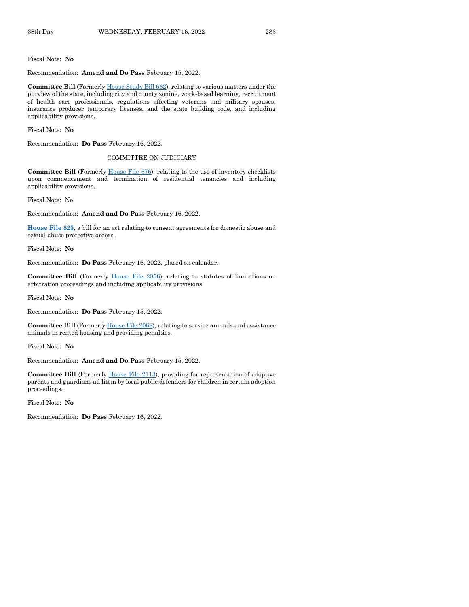Fiscal Note: **No**

Recommendation: **Amend and Do Pass** February 15, 2022.

**Committee Bill** (Formerl[y House Study Bill 682\)](https://www.legis.iowa.gov/legislation/BillBook?ga=89&ba=HSB682), relating to various matters under the purview of the state, including city and county zoning, work-based learning, recruitment of health care professionals, regulations affecting veterans and military spouses, insurance producer temporary licenses, and the state building code, and including applicability provisions.

Fiscal Note: **No**

Recommendation: **Do Pass** February 16, 2022.

#### COMMITTEE ON JUDICIARY

**Committee Bill** (Formerly [House File 676\)](https://www.legis.iowa.gov/legislation/BillBook?ga=89&ba=HF676), relating to the use of inventory checklists upon commencement and termination of residential tenancies and including applicability provisions.

Fiscal Note: No

Recommendation: **Amend and Do Pass** February 16, 2022.

**[House File 825,](https://www.legis.iowa.gov/legislation/BillBook?ga=89&ba=HF825)** a bill for an act relating to consent agreements for domestic abuse and sexual abuse protective orders.

Fiscal Note: **No**

Recommendation: **Do Pass** February 16, 2022, placed on calendar.

**Committee Bill** (Formerly [House File 2056\)](https://www.legis.iowa.gov/legislation/BillBook?ga=89&ba=HF2056), relating to statutes of limitations on arbitration proceedings and including applicability provisions.

Fiscal Note: **No**

Recommendation: **Do Pass** February 15, 2022.

**Committee Bill** (Formerl[y House File 2068\)](https://www.legis.iowa.gov/legislation/BillBook?ga=89&ba=HF2068), relating to service animals and assistance animals in rented housing and providing penalties.

Fiscal Note: **No**

Recommendation: **Amend and Do Pass** February 15, 2022.

**Committee Bill** (Formerly [House File 2113\)](https://www.legis.iowa.gov/legislation/BillBook?ga=89&ba=HF2113), providing for representation of adoptive parents and guardians ad litem by local public defenders for children in certain adoption proceedings.

Fiscal Note: **No**

Recommendation: **Do Pass** February 16, 2022.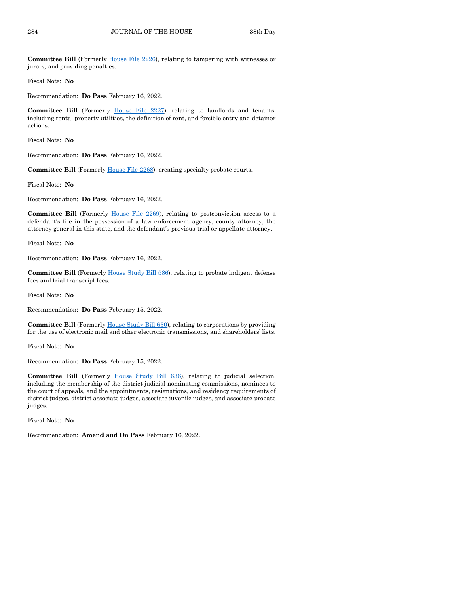**Committee Bill** (Formerly [House File 2226\)](https://www.legis.iowa.gov/legislation/BillBook?ga=89&ba=HF2226), relating to tampering with witnesses or jurors, and providing penalties.

Fiscal Note: **No**

Recommendation: **Do Pass** February 16, 2022.

**Committee Bill** (Formerly [House File 2227\)](https://www.legis.iowa.gov/legislation/BillBook?ga=89&ba=HF2227), relating to landlords and tenants, including rental property utilities, the definition of rent, and forcible entry and detainer actions.

Fiscal Note: **No**

Recommendation: **Do Pass** February 16, 2022.

**Committee Bill** (Formerly [House File 2268\)](https://www.legis.iowa.gov/legislation/BillBook?ga=89&ba=HF2268), creating specialty probate courts.

Fiscal Note: **No**

Recommendation: **Do Pass** February 16, 2022.

**Committee Bill** (Formerly [House File 2269\)](https://www.legis.iowa.gov/legislation/BillBook?ga=89&ba=HF2269), relating to postconviction access to a defendant's file in the possession of a law enforcement agency, county attorney, the attorney general in this state, and the defendant's previous trial or appellate attorney.

Fiscal Note: **No**

Recommendation: **Do Pass** February 16, 2022.

**Committee Bill** (Formerl[y House Study Bill 586\)](https://www.legis.iowa.gov/legislation/BillBook?ga=89&ba=HSB586), relating to probate indigent defense fees and trial transcript fees.

Fiscal Note: **No**

Recommendation: **Do Pass** February 15, 2022.

**Committee Bill** (Formerly [House Study Bill 630\)](https://www.legis.iowa.gov/legislation/BillBook?ga=89&ba=HSB630), relating to corporations by providing for the use of electronic mail and other electronic transmissions, and shareholders' lists.

Fiscal Note: **No**

Recommendation: **Do Pass** February 15, 2022.

**Committee Bill** (Formerly [House Study Bill 636\)](https://www.legis.iowa.gov/legislation/BillBook?ga=89&ba=HSB636), relating to judicial selection, including the membership of the district judicial nominating commissions, nominees to the court of appeals, and the appointments, resignations, and residency requirements of district judges, district associate judges, associate juvenile judges, and associate probate judges.

Fiscal Note: **No**

Recommendation: **Amend and Do Pass** February 16, 2022.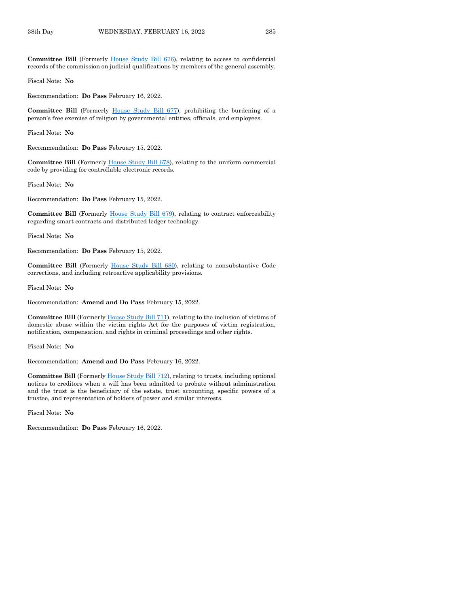**Committee Bill** (Formerly [House Study Bill 676\)](https://www.legis.iowa.gov/legislation/BillBook?ga=89&ba=HSB676), relating to access to confidential records of the commission on judicial qualifications by members of the general assembly.

Fiscal Note: **No**

Recommendation: **Do Pass** February 16, 2022.

**Committee Bill** (Formerly [House Study Bill 677\)](https://www.legis.iowa.gov/legislation/BillBook?ga=89&ba=HSB677), prohibiting the burdening of a person's free exercise of religion by governmental entities, officials, and employees.

Fiscal Note: **No**

Recommendation: **Do Pass** February 15, 2022.

**Committee Bill** (Formerly [House Study Bill 678\)](https://www.legis.iowa.gov/legislation/BillBook?ga=89&ba=HSB678), relating to the uniform commercial code by providing for controllable electronic records.

Fiscal Note: **No**

Recommendation: **Do Pass** February 15, 2022.

**Committee Bill** (Formerly [House Study Bill 679\)](https://www.legis.iowa.gov/legislation/BillBook?ga=89&ba=HSB679), relating to contract enforceability regarding smart contracts and distributed ledger technology.

Fiscal Note: **No**

Recommendation: **Do Pass** February 15, 2022.

**Committee Bill** (Formerly [House Study Bill 680\)](https://www.legis.iowa.gov/legislation/BillBook?ga=89&ba=HSB680), relating to nonsubstantive Code corrections, and including retroactive applicability provisions.

Fiscal Note: **No**

Recommendation: **Amend and Do Pass** February 15, 2022.

**Committee Bill** (Formerly [House Study Bill 711\)](https://www.legis.iowa.gov/legislation/BillBook?ga=89&ba=HSB711), relating to the inclusion of victims of domestic abuse within the victim rights Act for the purposes of victim registration, notification, compensation, and rights in criminal proceedings and other rights.

Fiscal Note: **No**

Recommendation: **Amend and Do Pass** February 16, 2022.

**Committee Bill** (Formerl[y House Study Bill 712\)](https://www.legis.iowa.gov/legislation/BillBook?ga=89&ba=HSB712), relating to trusts, including optional notices to creditors when a will has been admitted to probate without administration and the trust is the beneficiary of the estate, trust accounting, specific powers of a trustee, and representation of holders of power and similar interests.

Fiscal Note: **No**

Recommendation: **Do Pass** February 16, 2022.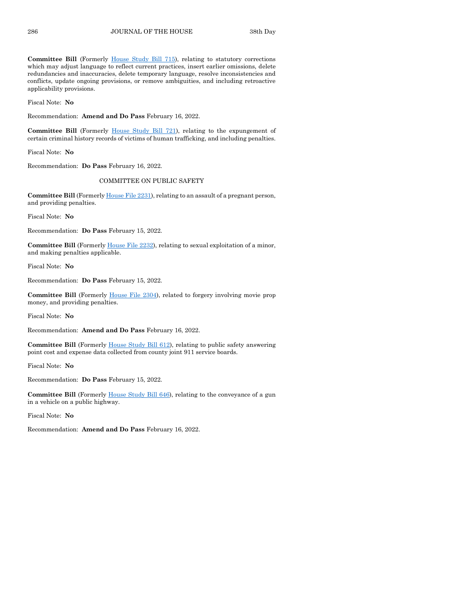**Committee Bill** (Formerly [House Study Bill 715\)](https://www.legis.iowa.gov/legislation/BillBook?ga=89&ba=HSB715), relating to statutory corrections which may adjust language to reflect current practices, insert earlier omissions, delete redundancies and inaccuracies, delete temporary language, resolve inconsistencies and conflicts, update ongoing provisions, or remove ambiguities, and including retroactive applicability provisions.

Fiscal Note: **No**

Recommendation: **Amend and Do Pass** February 16, 2022.

**Committee Bill** (Formerly [House Study Bill 721\)](https://www.legis.iowa.gov/legislation/BillBook?ga=89&ba=HSB721), relating to the expungement of certain criminal history records of victims of human trafficking, and including penalties.

Fiscal Note: **No**

Recommendation: **Do Pass** February 16, 2022.

#### COMMITTEE ON PUBLIC SAFETY

Committee Bill (Formerly *House File 2231*), relating to an assault of a pregnant person, and providing penalties.

Fiscal Note: **No**

Recommendation: **Do Pass** February 15, 2022.

**Committee Bill** (Formerl[y House File 2232\)](https://www.legis.iowa.gov/legislation/BillBook?ga=89&ba=HF2232), relating to sexual exploitation of a minor, and making penalties applicable.

Fiscal Note: **No**

Recommendation: **Do Pass** February 15, 2022.

**Committee Bill** (Formerly [House File 2304\)](https://www.legis.iowa.gov/legislation/BillBook?ga=89&ba=HF2304), related to forgery involving movie prop money, and providing penalties.

Fiscal Note: **No**

Recommendation: **Amend and Do Pass** February 16, 2022.

**Committee Bill** (Formerl[y House Study Bill 612\)](https://www.legis.iowa.gov/legislation/BillBook?ga=89&ba=HSB612), relating to public safety answering point cost and expense data collected from county joint 911 service boards.

Fiscal Note: **No**

Recommendation: **Do Pass** February 15, 2022.

**Committee Bill** (Formerly [House Study Bill 646\)](https://www.legis.iowa.gov/legislation/BillBook?ga=89&ba=HSB646), relating to the conveyance of a gun in a vehicle on a public highway.

Fiscal Note: **No**

Recommendation: **Amend and Do Pass** February 16, 2022.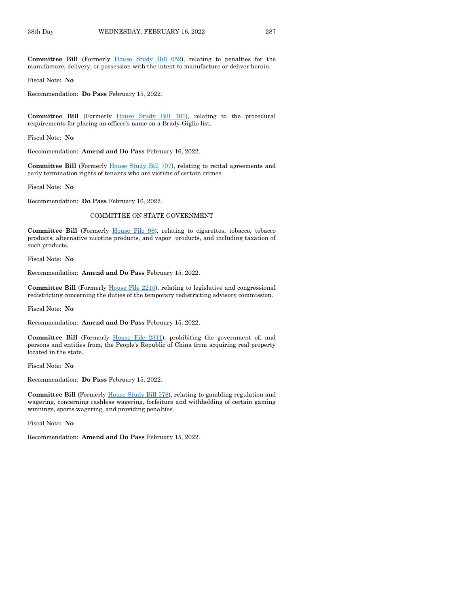**Committee Bill** (Formerly [House Study Bill 652\)](https://www.legis.iowa.gov/legislation/BillBook?ga=89&ba=HSB652), relating to penalties for the manufacture, delivery, or possession with the intent to manufacture or deliver heroin.

Fiscal Note: **No**

Recommendation: **Do Pass** February 15, 2022.

Committee Bill (Formerly [House Study Bill](https://www.legis.iowa.gov/legislation/BillBook?ga=89&ba=HSB701) 701), relating to the procedural requirements for placing an officer's name on a Brady-Giglio list.

Fiscal Note: **No**

Recommendation: **Amend and Do Pass** February 16, 2022.

**Committee Bill** (Formerly [House Study Bill 707\)](https://www.legis.iowa.gov/legislation/BillBook?ga=89&ba=HSB707), relating to rental agreements and early termination rights of tenants who are victims of certain crimes.

Fiscal Note: **No**

Recommendation: **Do Pass** February 16, 2022.

#### COMMITTEE ON STATE GOVERNMENT

**Committee Bill** (Formerly [House File 98\)](https://www.legis.iowa.gov/legislation/BillBook?ga=89&ba=HF98), relating to cigarettes, tobacco, tobacco products, alternative nicotine products, and vapor products, and including taxation of such products.

Fiscal Note: **No**

Recommendation: **Amend and Do Pass** February 15, 2022.

**Committee Bill** (Formerly [House File 2215\)](https://www.legis.iowa.gov/legislation/BillBook?ga=89&ba=HF2215), relating to legislative and congressional redistricting concerning the duties of the temporary redistricting advisory commission.

Fiscal Note: **No**

Recommendation: **Amend and Do Pass** February 15, 2022.

**Committee Bill** (Formerly [House File 2311\)](https://www.legis.iowa.gov/legislation/BillBook?ga=89&ba=HF2311), prohibiting the government of, and persons and entities from, the People's Republic of China from acquiring real property located in the state.

Fiscal Note: **No**

Recommendation: **Do Pass** February 15, 2022.

**Committee Bill** (Formerl[y House Study Bill 578\)](https://www.legis.iowa.gov/legislation/BillBook?ga=89&ba=HSB578), relating to gambling regulation and wagering, concerning cashless wagering, forfeiture and withholding of certain gaming winnings, sports wagering, and providing penalties.

Fiscal Note: **No**

Recommendation: **Amend and Do Pass** February 15, 2022.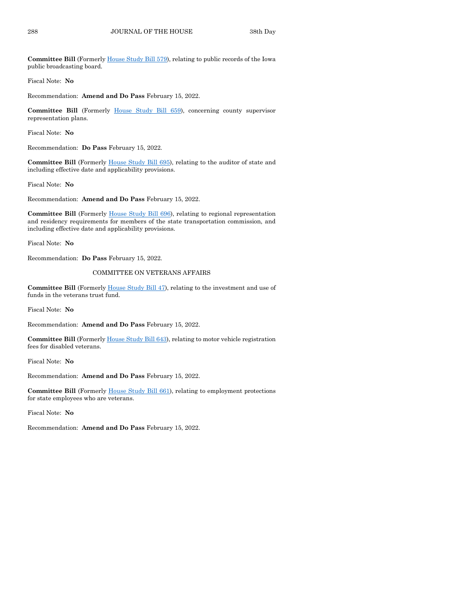**Committee Bill** (Formerly [House Study Bill 579\)](https://www.legis.iowa.gov/legislation/BillBook?ga=89&ba=HSB579), relating to public records of the Iowa public broadcasting board.

Fiscal Note: **No**

Recommendation: **Amend and Do Pass** February 15, 2022.

**Committee Bill** (Formerly [House Study Bill 659\)](https://www.legis.iowa.gov/legislation/BillBook?ga=89&ba=HSB659), concerning county supervisor representation plans.

Fiscal Note: **No**

Recommendation: **Do Pass** February 15, 2022.

**Committee Bill** (Formerl[y House Study Bill 695\)](https://www.legis.iowa.gov/legislation/BillBook?ga=89&ba=HSB695), relating to the auditor of state and including effective date and applicability provisions.

Fiscal Note: **No**

Recommendation: **Amend and Do Pass** February 15, 2022.

**Committee Bill** (Formerly [House Study Bill 696\)](https://www.legis.iowa.gov/legislation/BillBook?ga=89&ba=HSB696), relating to regional representation and residency requirements for members of the state transportation commission, and including effective date and applicability provisions.

Fiscal Note: **No**

Recommendation: **Do Pass** February 15, 2022.

#### COMMITTEE ON VETERANS AFFAIRS

**Committee Bill** (Formerl[y House Study Bill 47\)](https://www.legis.iowa.gov/legislation/BillBook?ga=89&ba=HSB47), relating to the investment and use of funds in the veterans trust fund.

Fiscal Note: **No**

Recommendation: **Amend and Do Pass** February 15, 2022.

**Committee Bill** (Formerl[y House Study Bill 643\)](https://www.legis.iowa.gov/legislation/BillBook?ga=89&ba=HSB643), relating to motor vehicle registration fees for disabled veterans.

Fiscal Note: **No**

Recommendation: **Amend and Do Pass** February 15, 2022.

**Committee Bill** (Formerly [House Study Bill 661\)](https://www.legis.iowa.gov/legislation/BillBook?ga=89&ba=HSB661), relating to employment protections for state employees who are veterans.

Fiscal Note: **No**

Recommendation: **Amend and Do Pass** February 15, 2022.